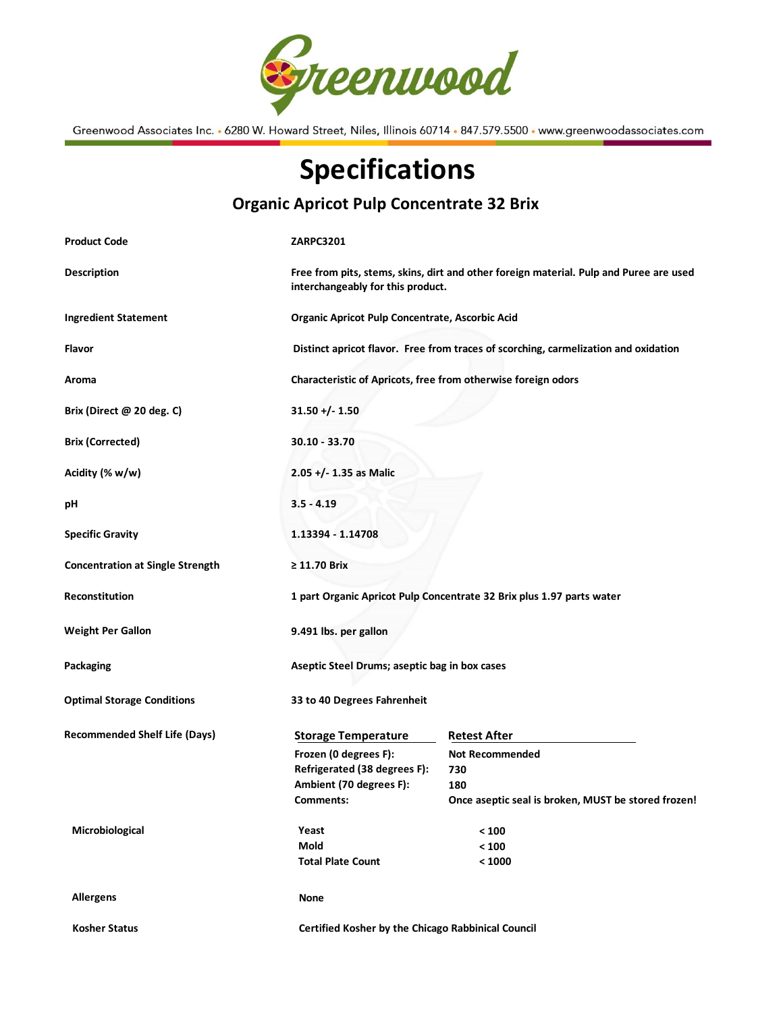

Greenwood Associates Inc. • 6280 W. Howard Street, Niles, Illinois 60714 • 847.579.5500 • www.greenwoodassociates.com

## Specifications

## Organic Apricot Pulp Concentrate 32 Brix

| <b>Product Code</b>                     | <b>ZARPC3201</b>                                                                                                            |                                                     |  |
|-----------------------------------------|-----------------------------------------------------------------------------------------------------------------------------|-----------------------------------------------------|--|
| <b>Description</b>                      | Free from pits, stems, skins, dirt and other foreign material. Pulp and Puree are used<br>interchangeably for this product. |                                                     |  |
| <b>Ingredient Statement</b>             | Organic Apricot Pulp Concentrate, Ascorbic Acid                                                                             |                                                     |  |
| Flavor                                  | Distinct apricot flavor. Free from traces of scorching, carmelization and oxidation                                         |                                                     |  |
| Aroma                                   | Characteristic of Apricots, free from otherwise foreign odors                                                               |                                                     |  |
| Brix (Direct @ 20 deg. C)               | $31.50 + (-1.50)$                                                                                                           |                                                     |  |
| <b>Brix (Corrected)</b>                 | 30.10 - 33.70                                                                                                               |                                                     |  |
| Acidity (% w/w)                         | $2.05 +/- 1.35$ as Malic                                                                                                    |                                                     |  |
| рH                                      | $3.5 - 4.19$                                                                                                                |                                                     |  |
| <b>Specific Gravity</b>                 | 1.13394 - 1.14708                                                                                                           |                                                     |  |
| <b>Concentration at Single Strength</b> | $\geq 11.70$ Brix                                                                                                           |                                                     |  |
| Reconstitution                          | 1 part Organic Apricot Pulp Concentrate 32 Brix plus 1.97 parts water                                                       |                                                     |  |
| <b>Weight Per Gallon</b>                | 9.491 lbs. per gallon                                                                                                       |                                                     |  |
| Packaging                               | Aseptic Steel Drums; aseptic bag in box cases                                                                               |                                                     |  |
| <b>Optimal Storage Conditions</b>       | 33 to 40 Degrees Fahrenheit                                                                                                 |                                                     |  |
| <b>Recommended Shelf Life (Days)</b>    | <b>Storage Temperature</b>                                                                                                  | <b>Retest After</b>                                 |  |
|                                         | Frozen (0 degrees F):                                                                                                       | <b>Not Recommended</b>                              |  |
|                                         | Refrigerated (38 degrees F):                                                                                                | 730                                                 |  |
|                                         | Ambient (70 degrees F):                                                                                                     | 180                                                 |  |
|                                         | Comments:                                                                                                                   | Once aseptic seal is broken, MUST be stored frozen! |  |
| Microbiological                         | Yeast                                                                                                                       | $< 100$                                             |  |
|                                         | Mold                                                                                                                        | $< 100$                                             |  |
|                                         | <b>Total Plate Count</b>                                                                                                    | < 1000                                              |  |
| <b>Allergens</b>                        | <b>None</b>                                                                                                                 |                                                     |  |
| <b>Kosher Status</b>                    |                                                                                                                             | Certified Kosher by the Chicago Rabbinical Council  |  |